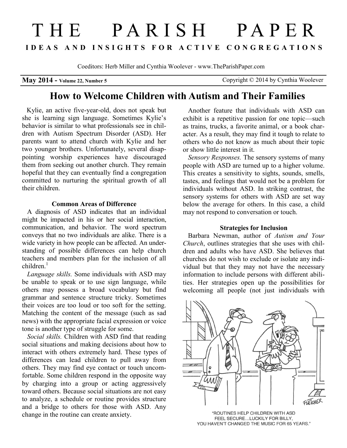# THE PARISH PAPER **I D E A S A N D I N S I G H T S F O R A C T I V E C O N G R E G A T I O N S**

Coeditors: Herb Miller and Cynthia Woolever - www.TheParishPaper.com

**May 2014 - Volume 22, Number 5 Copyright © 2014 by Cynthia Woolever** 

## **How to Welcome Children with Autism and Their Families**

 Kylie, an active five-year-old, does not speak but she is learning sign language. Sometimes Kylie's behavior is similar to what professionals see in children with Autism Spectrum Disorder (ASD). Her parents want to attend church with Kylie and her two younger brothers. Unfortunately, several disappointing worship experiences have discouraged them from seeking out another church. They remain hopeful that they can eventually find a congregation committed to nurturing the spiritual growth of all their children.

#### **Common Areas of Difference**

 A diagnosis of ASD indicates that an individual might be impacted in his or her social interaction, communication, and behavior. The word spectrum conveys that no two individuals are alike. There is a wide variety in how people can be affected. An understanding of possible differences can help church teachers and members plan for the inclusion of all children $1$ 

*Language skills.* Some individuals with ASD may be unable to speak or to use sign language, while others may possess a broad vocabulary but find grammar and sentence structure tricky. Sometimes their voices are too loud or too soft for the setting. Matching the content of the message (such as sad news) with the appropriate facial expression or voice tone is another type of struggle for some.

*Social skills.* Children with ASD find that reading social situations and making decisions about how to interact with others extremely hard. These types of differences can lead children to pull away from others. They may find eye contact or touch uncomfortable. Some children respond in the opposite way by charging into a group or acting aggressively toward others. Because social situations are not easy to analyze, a schedule or routine provides structure and a bridge to others for those with ASD. Any change in the routine can create anxiety.

Another feature that individuals with ASD can exhibit is a repetitive passion for one topic—such as trains, trucks, a favorite animal, or a book character. As a result, they may find it tough to relate to others who do not know as much about their topic or show little interest in it.

*Sensory Responses.* The sensory systems of many people with ASD are turned up to a higher volume. This creates a sensitivity to sights, sounds, smells, tastes, and feelings that would not be a problem for individuals without ASD. In striking contrast, the sensory systems for others with ASD are set way below the average for others. In this case, a child may not respond to conversation or touch.

#### **Strategies for Inclusion**

 Barbara Newman, author of *Autism and Your Church*, outlines strategies that she uses with children and adults who have ASD. She believes that churches do not wish to exclude or isolate any individual but that they may not have the necessary information to include persons with different abilities. Her strategies open up the possibilities for welcoming all people (not just individuals with



"ROUTINES HELP CHILDREN WITH ASD FEEL SECURE...LUCKILY FOR BILLY, YOU HAVEN'T CHANGED THE MUSIC FOR 65 YEARS."